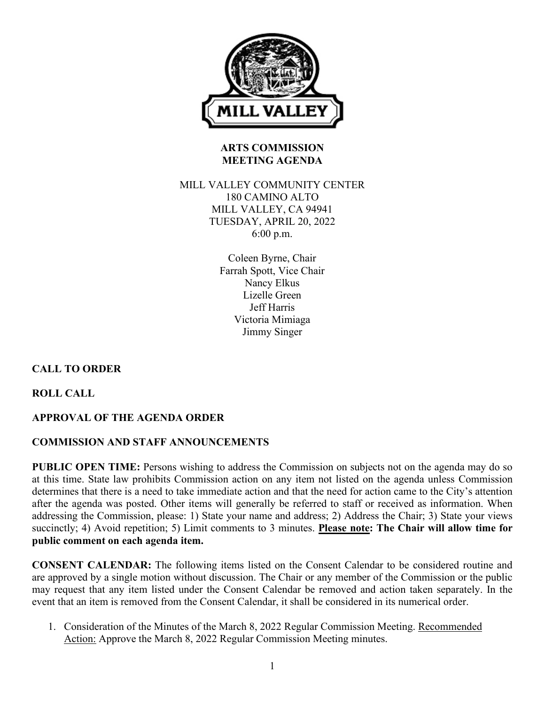

# **ARTS COMMISSION MEETING AGENDA**

## MILL VALLEY COMMUNITY CENTER 180 CAMINO ALTO MILL VALLEY, CA 94941 TUESDAY, APRIL 20, 2022 6:00 p.m.

Coleen Byrne, Chair Farrah Spott, Vice Chair Nancy Elkus Lizelle Green Jeff Harris Victoria Mimiaga Jimmy Singer

# **CALL TO ORDER**

**ROLL CALL**

# **APPROVAL OF THE AGENDA ORDER**

# **COMMISSION AND STAFF ANNOUNCEMENTS**

**PUBLIC OPEN TIME:** Persons wishing to address the Commission on subjects not on the agenda may do so at this time. State law prohibits Commission action on any item not listed on the agenda unless Commission determines that there is a need to take immediate action and that the need for action came to the City's attention after the agenda was posted. Other items will generally be referred to staff or received as information. When addressing the Commission, please: 1) State your name and address; 2) Address the Chair; 3) State your views succinctly; 4) Avoid repetition; 5) Limit comments to 3 minutes. **Please note: The Chair will allow time for public comment on each agenda item.**

**CONSENT CALENDAR:** The following items listed on the Consent Calendar to be considered routine and are approved by a single motion without discussion. The Chair or any member of the Commission or the public may request that any item listed under the Consent Calendar be removed and action taken separately. In the event that an item is removed from the Consent Calendar, it shall be considered in its numerical order.

1. Consideration of the Minutes of the March 8, 2022 Regular Commission Meeting. Recommended Action: Approve the March 8, 2022 Regular Commission Meeting minutes.